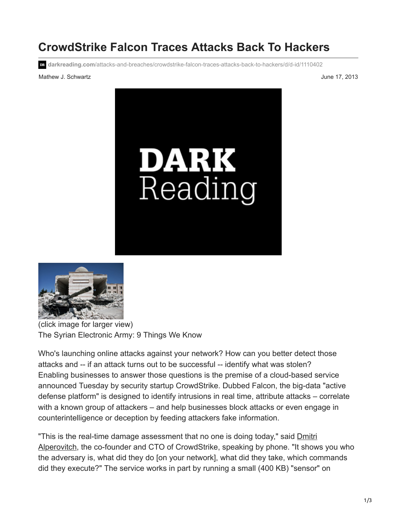## **CrowdStrike Falcon Traces Attacks Back To Hackers**

**darkreading.com**[/attacks-and-breaches/crowdstrike-falcon-traces-attacks-back-to-hackers/d/d-id/1110402](http://www.darkreading.com/attacks-and-breaches/crowdstrike-falcon-traces-attacks-back-to-hackers/d/d-id/1110402?)

## Mathew J. Schwartz **June 17, 2013**





(click image for larger view) The Syrian Electronic Army: 9 Things We Know

Who's launching online attacks against your network? How can you better detect those attacks and -- if an attack turns out to be successful -- identify what was stolen? Enabling businesses to answer those questions is the premise of a cloud-based service announced Tuesday by security startup CrowdStrike. Dubbed Falcon, the big-data "active defense platform" is designed to identify intrusions in real time, attribute attacks – correlate with a known group of attackers – and help businesses block attacks or even engage in counterintelligence or deception by feeding attackers fake information.

["This is the real-time damage assessment that no one is doing today," said Dmitri](http://www.informationweek.com/security/attacks/shady-rat-attack-hit-72-organizations/231300162) Alperovitch, the co-founder and CTO of CrowdStrike, speaking by phone. "It shows you who the adversary is, what did they do [on your network], what did they take, which commands did they execute?" The service works in part by running a small (400 KB) "sensor" on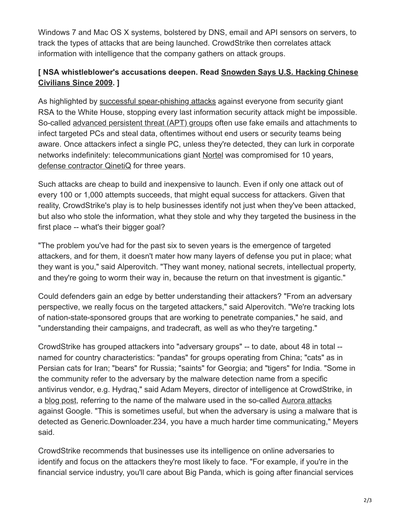Windows 7 and Mac OS X systems, bolstered by DNS, email and API sensors on servers, to track the types of attacks that are being launched. CrowdStrike then correlates attack information with intelligence that the company gathers on attack groups.

## **[\[ NSA whistleblower's accusations deepen. Read Snowden Says U.S. Hacking Chinese](http://www.informationweek.com/security/privacy/snowden-says-us-hacking-chinese-civilian/240156625?itc=edit_in_body_cross) Civilians Since 2009. ]**

As highlighted by [successful spear-phishing attacks](http://www.informationweek.com/security/attacks/spear-phishing-attacks-on-the-rise/230500025) against everyone from security giant RSA to the White House, stopping every last information security attack might be impossible. So-called [advanced persistent threat \(APT\) groups](http://www.informationweek.com/security/cybercrime/advanced-persistent-threats-get-more-res/232600562) often use fake emails and attachments to infect targeted PCs and steal data, oftentimes without end users or security teams being aware. Once attackers infect a single PC, unless they're detected, they can lurk in corporate networks indefinitely: telecommunications giant [Nortel](http://www.informationweek.com/security/attacks/8-lessons-from-nortels-10-year-security/232601092) was compromised for 10 years, [defense contractor QinetiQ](http://www.informationweek.com/security/government/china-tied-to-3-year-hack-of-defense-con/240154064) for three years.

Such attacks are cheap to build and inexpensive to launch. Even if only one attack out of every 100 or 1,000 attempts succeeds, that might equal success for attackers. Given that reality, CrowdStrike's play is to help businesses identify not just when they've been attacked, but also who stole the information, what they stole and why they targeted the business in the first place -- what's their bigger goal?

"The problem you've had for the past six to seven years is the emergence of targeted attackers, and for them, it doesn't mater how many layers of defense you put in place; what they want is you," said Alperovitch. "They want money, national secrets, intellectual property, and they're going to worm their way in, because the return on that investment is gigantic."

Could defenders gain an edge by better understanding their attackers? "From an adversary perspective, we really focus on the targeted attackers," said Alperovitch. "We're tracking lots of nation-state-sponsored groups that are working to penetrate companies," he said, and "understanding their campaigns, and tradecraft, as well as who they're targeting."

CrowdStrike has grouped attackers into "adversary groups" -- to date, about 48 in total - named for country characteristics: "pandas" for groups operating from China; "cats" as in Persian cats for Iran; "bears" for Russia; "saints" for Georgia; and "tigers" for India. "Some in the community refer to the adversary by the malware detection name from a specific antivirus vendor, e.g. Hydraq," said Adam Meyers, director of intelligence at CrowdStrike, in a [blog post,](http://www.crowdstrike.com/blog/whois-anchor-panda/index.html) referring to the name of the malware used in the so-called [Aurora attacks](http://www.informationweek.com/security/attacks/google-aurora-hack-was-chinese-counteres/240155268) against Google. "This is sometimes useful, but when the adversary is using a malware that is detected as Generic.Downloader.234, you have a much harder time communicating," Meyers said.

CrowdStrike recommends that businesses use its intelligence on online adversaries to identify and focus on the attackers they're most likely to face. "For example, if you're in the financial service industry, you'll care about Big Panda, which is going after financial services